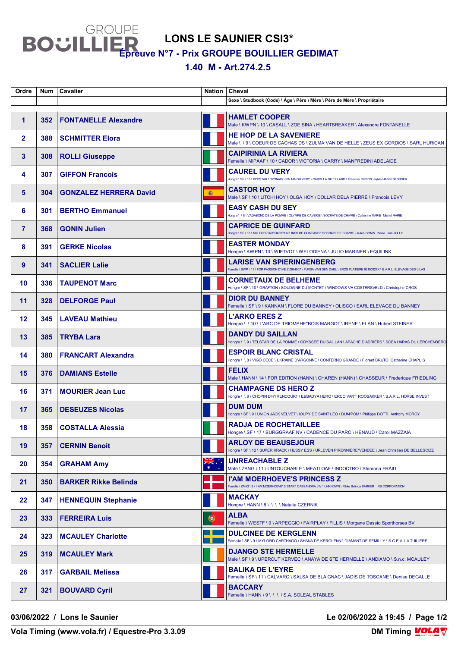**LONS LE SAUNIER CSI3\***

**Épreuve N°7 - Prix GROUPE BOUILLIER GEDIMAT**

**1.40 M - Art.274.2.5** 

| Ordre          | <b>Num</b> | <b>Cavalier</b>               | <b>Nation</b>    | Cheval                                                                                                                                                    |
|----------------|------------|-------------------------------|------------------|-----------------------------------------------------------------------------------------------------------------------------------------------------------|
|                |            |                               |                  | Sexe \ Studbook (Code) \ Âge \ Père \ Mère \ Père de Mère \ Propriétaire                                                                                  |
| 1              | 352        | <b>FONTANELLE Alexandre</b>   |                  | <b>HAMLET COOPER</b><br>Male \ KWPN \ 10 \ CASALL \ ZOE SINA \ HEARTBREAKER \ Alexandre FONTANELLE                                                        |
| $\mathbf{2}$   | 388        | <b>SCHMITTER Elora</b>        |                  | <b>HE HOP DE LA SAVENIERE</b><br>Male \ \ 9 \ COEUR DE CACHAS DS \ ZULMA VAN DE HELLE \ ZEUS EX GORDIOS \ SARL HURICAN                                    |
| 3              | 308        | <b>ROLLI Giuseppe</b>         |                  | <b>CAIPIRINIA LA RIVIERA</b><br>Femelle \ MIPAAF \ 10 \ CADOR \ VICTORIA \ CARRY \ MANFREDINI ADELAIDE                                                    |
| 4              | 307        | <b>GIFFON Francois</b>        |                  | <b>CAUREL DU VERY</b><br>Hongre \ SF \ 10 \ POPSTAR LOZONAIS \ RALMA DU VERY \ CABDULA DU TILLARD \ Francois GIFFON Sylvie HASSENFORDER                   |
| 5              | 304        | <b>GONZALEZ HERRERA David</b> | 16.              | <b>CASTOR HOY</b><br>Male \ SF \ 10 \ LITCHI HOY \ OLGA HOY \ DOLLAR DELA PIERRE \ Francois LEVY                                                          |
| 6              | 301        | <b>BERTHO Emmanuel</b>        |                  | <b>EASY CASH DU SEY</b><br>Hongre \ \ 8 \ VAGABOND DE LA POMME \ OLYMPE DE CAVERIE \ SOCRATE DE CHIVRE \ Catherine MARIE Michel MARIE                     |
| $\overline{7}$ | 368        | <b>GONIN Julien</b>           |                  | <b>CAPRICE DE GUINFARD</b><br>Hongre \ SF \ 10 \ MYLORD CARTHAGO*HN \ INES DE GUINFARD \ SOCRATE DE CHIVRE \ Julien GONIN Pierre Jean JOLLY               |
| 8              | 391        | <b>GERKE Nicolas</b>          |                  | <b>EASTER MONDAY</b><br>Hongre \ KWPN \ 13 \ WIETVOT \ WELODIENA \ JULIO MARINER \ EQUILINK                                                               |
| 9              | 341        | <b>SACLIER Lalie</b>          |                  | <b>LARISE VAN SPIERINGENBERG</b><br>Femelle \BWP \11\FOR PASSION D'IVE Z Z644007 \FURSA VAN DEN DAEL \EROS PLATIERE 92190327X \E.A.R.L. ELEVAGE DES LILAS |
| 10             | 336        | <b>TAUPENOT Marc</b>          |                  | <b>CORNETAUX DE BELHEME</b><br>Hongre \ SF \ 10 \ GRAFTON \ SOUDAINE DU MONTET \ WINDOWS VH COSTERSVELD \ Christophe CROS                                 |
| 11             | 328        | <b>DELFORGE Paul</b>          |                  | <b>DIOR DU BANNEY</b><br>Femelle \ SF \ 9 \ KANNAN \ FLORE DU BANNEY \ OLISCO \ EARL ELEVAGE DU BANNEY                                                    |
| 12             | 345        | <b>LAVEAU Mathieu</b>         |                  | <b>L'ARKO ERES Z</b><br>Hongre \\10\L'ARC DE TRIOMPHE*BOIS MARGOT \ IRENE \ ELAN \ Hubert STEINER                                                         |
| 13             | 385        | <b>TRYBA Lara</b>             |                  | <b>DANDY DU SAILLAN</b><br>Hongre \\9\TELSTAR DE LA POMME \ODYSSEE DU SAILLAN \APACHE D'ADRIERS \SCEA HARAS DU LERCHENBERG                                |
| 14             | 380        | <b>FRANCART Alexandra</b>     |                  | <b>ESPOIR BLANC CRISTAL</b><br>Hongre \ \ 8 \ VIGO CECE \ UKRAINE D'ARGONNE \ CONTERNO GRANDE \ Florent BRUTO Catherine CHAPUIS                           |
| 15             | 376        | <b>DAMIANS Estelle</b>        |                  | <b>FELIX</b><br>Male \ HANN \ 14 \ FOR EDITION (HANN) \ CHAREN (HANN) \ CHASSEUR \ Frederique FRIEDLING                                                   |
| 16             | 371        | <b>MOURIER Jean Luc</b>       |                  | <b>CHAMPAGNE DS HERO Z</b><br>Hongre \\8\CHOPIN D'HYRENCOURT\EBBADYA HERO\ERCO VAN'T ROOSAKKER \S.A.R.L. HORSE INVEST                                     |
| 17             | 365        | <b>DESEUZES Nicolas</b>       |                  | <b>DUM DUM</b><br>Hongre \ SF \ 9 \ UNION JACK VELVET \ IOUPY DE SAINT LEO \ DUM'POM \ Philippe DOTTI Anthony MOROY                                       |
| 18             |            | 358   COSTALLA Alessia        |                  | <b>RADJA DE ROCHETAILLEE</b><br>Hongre \ SF \ 17 \ BURGGRAAF NV \ CADENCE DU PARC \ HENAUD \ Carol MAZZAIA                                                |
| 19             | 357        | <b>CERNIN Benoit</b>          |                  | <b>ARLOY DE BEAUSEJOUR</b><br>Hongre \ SF \ 12 \ SUPER KRACK \ HUSSY ESS \ URLEVEN PIRONNIERE*VENDEE \ Jean Christian DE BELLESCIZE                       |
| 20             | 354        | <b>GRAHAM Amy</b>             | $\sum_{k=1}^{N}$ | <b>UNREACHABLE Z</b><br>Male \ ZANG \ 11 \ UNTOUCHABLE \ MEATLOAF \ INDOCTRO \ Shimona FRAID                                                              |
| 21             | 350        | <b>BARKER Rikke Belinda</b>   |                  | <b>I'AM MOERHOEVE'S PRINCESS Z</b><br>Femelle \ ZANG \ 9 \ I AM MOERHOEVE' S STAR \ CASSANDRA JW \ UNKNOWN \ Rikke Belinda BARKER RB CORPORATION          |
| $22 \,$        | 347        | <b>HENNEQUIN Stephanie</b>    |                  | <b>MACKAY</b><br>Hongre \ HANN \ 8 \ \ \ \ Natalia CZERNIK                                                                                                |
| 23             | 333        | <b>FERREIRA Luis</b>          | 0                | <b>ALBA</b><br>Femelle \ WESTF \ 9 \ ARPEGGIO \ FAIRPLAY \ FILLIS \ Morgane Dassio Sporthorses BV                                                         |
| 24             | 323        | <b>MCAULEY Charlotte</b>      |                  | <b>DULCINEE DE KERGLENN</b><br>Femelle \ SF \ 9 \ MYLORD CARTHAGO \ SHANA DE KERGLENN \ DIAMANT DE SEMILLY \ S.C.E.A. LA TUILIERE                         |
| 25             | 319        | <b>MCAULEY Mark</b>           |                  | <b>DJANGO STE HERMELLE</b><br>Male \ SF \ 9 \ UPERCUT KERVEC \ ANAYA DE STE HERMELLE \ ANDIAMO \ S.n.c. MCAULEY                                           |
| 26             | 317        | <b>GARBAIL Melissa</b>        |                  | <b>BALIKA DE L'EYRE</b><br>Femelle \ SF \ 11 \ CALVARO \ SALSA DE BLAIGNAC \ JADIS DE TOSCANE \ Denise DEGALLE                                            |
| 27             | 321        | <b>BOUVARD Cyril</b>          |                  | <b>BACCARY</b><br>Femelle \HANN\9\\\\S.A. SOLEAL STABLES                                                                                                  |

**03/06/2022 / Lons le Saunier Le 02/06/2022 à 19:45 / Page 1/2**

**Vola Timing (www.vola.fr) / Equestre-Pro 3.3.09**